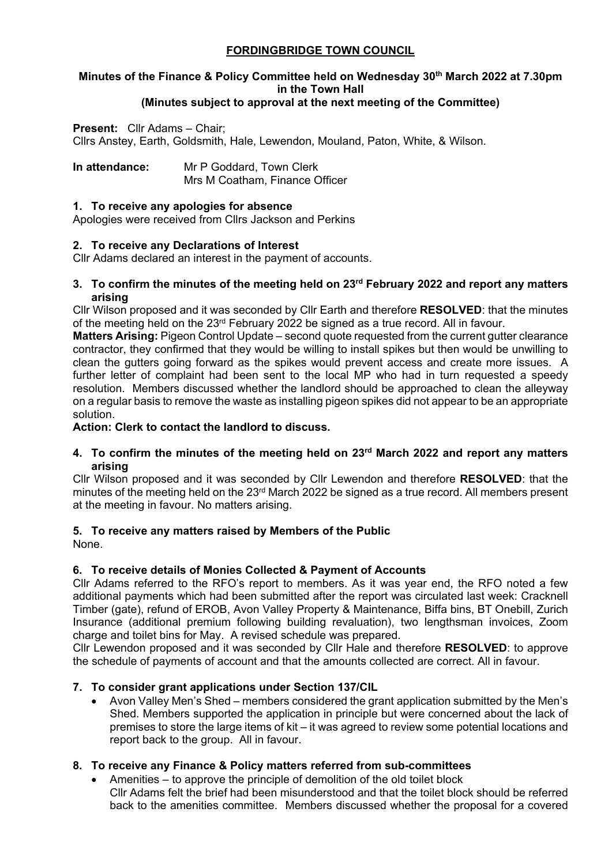## **FORDINGBRIDGE TOWN COUNCIL**

# **Minutes of the Finance & Policy Committee held on Wednesday 30th March 2022 at 7.30pm in the Town Hall**

### **(Minutes subject to approval at the next meeting of the Committee)**

**Present:** Cllr Adams – Chair; Cllrs Anstey, Earth, Goldsmith, Hale, Lewendon, Mouland, Paton, White, & Wilson.

**In attendance:** Mr P Goddard, Town Clerk Mrs M Coatham, Finance Officer

#### **1. To receive any apologies for absence**

Apologies were received from Cllrs Jackson and Perkins

#### **2. To receive any Declarations of Interest**

Cllr Adams declared an interest in the payment of accounts.

#### **3. To confirm the minutes of the meeting held on 23rd February 2022 and report any matters arising**

Cllr Wilson proposed and it was seconded by Cllr Earth and therefore **RESOLVED**: that the minutes of the meeting held on the 23<sup>rd</sup> February 2022 be signed as a true record. All in favour.

**Matters Arising:** Pigeon Control Update – second quote requested from the current gutter clearance contractor, they confirmed that they would be willing to install spikes but then would be unwilling to clean the gutters going forward as the spikes would prevent access and create more issues. A further letter of complaint had been sent to the local MP who had in turn requested a speedy resolution. Members discussed whether the landlord should be approached to clean the alleyway on a regular basis to remove the waste as installing pigeon spikes did not appear to be an appropriate solution.

**Action: Clerk to contact the landlord to discuss.**

**4. To confirm the minutes of the meeting held on 23rd March 2022 and report any matters arising**

Cllr Wilson proposed and it was seconded by Cllr Lewendon and therefore **RESOLVED**: that the minutes of the meeting held on the 23rd March 2022 be signed as a true record. All members present at the meeting in favour. No matters arising.

#### **5. To receive any matters raised by Members of the Public**

None.

#### **6. To receive details of Monies Collected & Payment of Accounts**

Cllr Adams referred to the RFO's report to members. As it was year end, the RFO noted a few additional payments which had been submitted after the report was circulated last week: Cracknell Timber (gate), refund of EROB, Avon Valley Property & Maintenance, Biffa bins, BT Onebill, Zurich Insurance (additional premium following building revaluation), two lengthsman invoices, Zoom charge and toilet bins for May. A revised schedule was prepared.

Cllr Lewendon proposed and it was seconded by Cllr Hale and therefore **RESOLVED**: to approve the schedule of payments of account and that the amounts collected are correct. All in favour.

#### **7. To consider grant applications under Section 137/CIL**

• Avon Valley Men's Shed – members considered the grant application submitted by the Men's Shed. Members supported the application in principle but were concerned about the lack of premises to store the large items of kit – it was agreed to review some potential locations and report back to the group. All in favour.

#### **8. To receive any Finance & Policy matters referred from sub-committees**

• Amenities – to approve the principle of demolition of the old toilet block Cllr Adams felt the brief had been misunderstood and that the toilet block should be referred back to the amenities committee. Members discussed whether the proposal for a covered